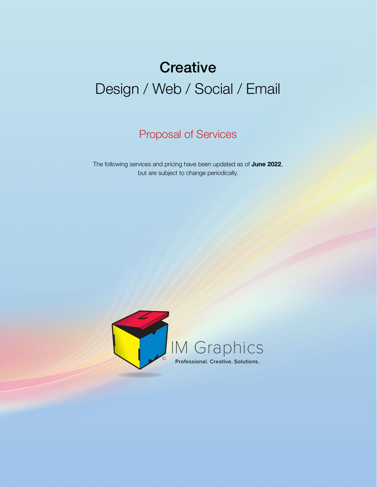# **Creative** Design / Web / Social / Email

Proposal of Services

The following services and pricing have been updated as of **June 2022**, but are subject to change periodically.

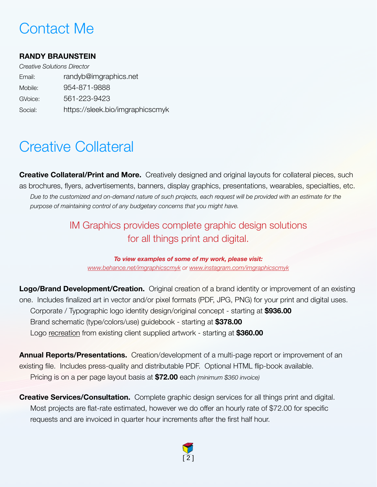### Contact Me

### **RANDY BRAUNSTEIN**

*Creative Solutions Director* Email: randyb@imgraphics.net Mobile: 954-871-9888 GVoice: 561-223-9423 Social: https://sleek.bio/imgraphicscmyk

### Creative Collateral

**Creative Collateral/Print and More.** Creatively designed and original layouts for collateral pieces, such as brochures, flyers, advertisements, banners, display graphics, presentations, wearables, specialties, etc. *Due to the customized and on-demand nature of such projects, each request will be provided with an estimate for the purpose of maintaining control of any budgetary concerns that you might have.*

### IM Graphics provides complete graphic design solutions for all things print and digital.

*To view examples of some of my work, please visit: [www.behance.net/imgraphicscmyk](http://www.behance.net/imgraphicscmyk) or [www.instagram.com/imgraphicscmyk](http://www.instagram.com/imgraphicscmyk)*

**Logo/Brand Development/Creation.** Original creation of a brand identity or improvement of an existing one. Includes finalized art in vector and/or pixel formats (PDF, JPG, PNG) for your print and digital uses. Corporate / Typographic logo identity design/original concept - starting at **\$936.00**  Brand schematic (type/colors/use) guidebook - starting at **\$378.00**  Logo recreation from existing client supplied artwork - starting at **\$360.00** 

**Annual Reports/Presentations.** Creation/development of a multi-page report or improvement of an existing file. Includes press-quality and distributable PDF. Optional HTML flip-book available. Pricing is on a per page layout basis at **\$72.00** each *(minimum \$360 invoice)*

**Creative Services/Consultation.** Complete graphic design services for all things print and digital. Most projects are flat-rate estimated, however we do offer an hourly rate of \$72.00 for specific requests and are invoiced in quarter hour increments after the first half hour.

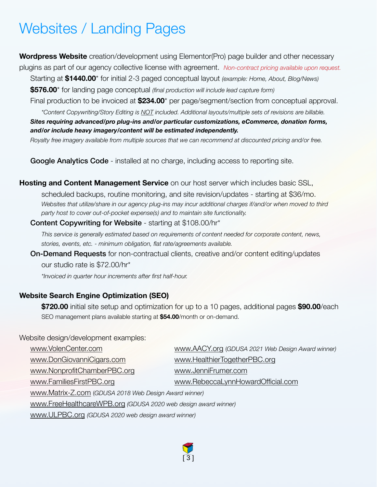# Websites / Landing Pages

**Wordpress Website** creation/development using Elementor(Pro) page builder and other necessary

plugins as part of our agency collective license with agreement. *Non-contract pricing available upon request.*

Starting at **\$1440.00**\* for initial 2-3 paged conceptual layout *(example: Home, About, Blog/News)*

**\$576.00**\* for landing page conceptual *(final production will include lead capture form)*

Final production to be invoiced at **\$234.00**\* per page/segment/section from conceptual approval. *\*Content Copywriting/Story Editing is NOT included. Additional layouts/multiple sets of revisions are billable.*

*Sites requiring advanced/pro plug-ins and/or particular customizations, eCommerce, donation forms, and/or include heavy imagery/content will be estimated independently.*

*Royalty free imagery available from multiple sources that we can recommend at discounted pricing and/or free.*

Google Analytics Code - installed at no charge, including access to reporting site.

**Hosting and Content Management Service** on our host server which includes basic SSL,

 scheduled backups, routine monitoring, and site revision/updates - starting at \$36/mo. *Websites that utilize/share in our agency plug-ins may incur additional charges if/and/or when moved to third party host to cover out-of-pocket expense(s) and to maintain site functionality.*

Content Copywriting for Website - starting at \$108.00/hr\*

 *This service is generally estimated based on requirements of content needed for corporate content, news, stories, events, etc. - minimum obligation, flat rate/agreements available.*

On-Demand Requests for non-contractual clients, creative and/or content editing/updates

 our studio rate is \$72.00/hr\*

 *\*Invoiced in quarter hour increments after first half-hour.*

### **Website Search Engine Optimization (SEO)**

 **\$720.00** initial site setup and optimization for up to a 10 pages, additional pages **\$90.00**/each SEO management plans available starting at **\$54.00**/month or on-demand.

#### Website design/development examples:

| www.AACY.org (GDUSA 2021 Web Design Award winner)              |  |
|----------------------------------------------------------------|--|
| www.HealthierTogetherPBC.org                                   |  |
| www.JenniFrumer.com                                            |  |
| www.RebeccaLynnHowardOfficial.com                              |  |
| www.Matrix-Z.com (GDUSA 2018 Web Design Award winner)          |  |
| www.FreeHealthcareWPB.org (GDUSA 2020 web design award winner) |  |
| www.ULPBC.org (GDUSA 2020 web design award winner)             |  |
|                                                                |  |

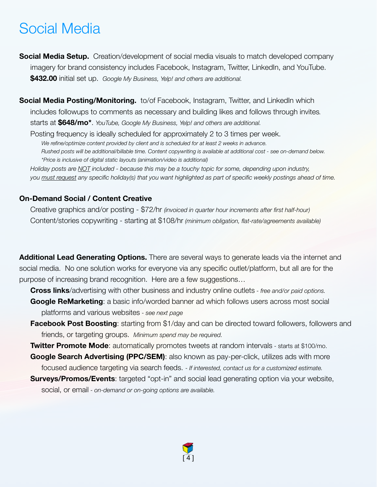### Social Media

**Social Media Setup.** Creation/development of social media visuals to match developed company imagery for brand consistency includes Facebook, Instagram, Twitter, LinkedIn, and YouTube. **\$432.00** initial set up. *Google My Business, Yelp! and others are additional.*

**Social Media Posting/Monitoring.** to/of Facebook, Instagram, Twitter, and LinkedIn which includes followups to comments as necessary and building likes and follows through invites*.* starts at **\$648/mo\***. *YouTube, Google My Business, Yelp! and others are additional.*

Posting frequency is ideally scheduled for approximately 2 to 3 times per week. We refine/optimize content provided by client and is scheduled for at least 2 weeks in advance.  *Rushed posts will be additional/billable time. Content copywriting is available at additional cost - see on-demand below. \*Price is inclusive of digital static layouts (animation/video is additional)*

*Holiday posts are NOT included - because this may be a touchy topic for some, depending upon industry, you must request any specific holiday(s) that you want highlighted as part of specific weekly postings ahead of time.*

#### **On-Demand Social / Content Creative**

Creative graphics and/or posting - \$72/hr *(invoiced in quarter hour increments after first half-hour)* Content/stories copywriting - starting at \$108/hr *(minimum obligation, flat-rate/agreements available)*

**Additional Lead Generating Options.** There are several ways to generate leads via the internet and social media. No one solution works for everyone via any specific outlet/platform, but all are for the purpose of increasing brand recognition. Here are a few suggestions…

**Cross links**/advertising with other business and industry online outlets *- free and/or paid options.*

**Google ReMarketing**: a basic info/worded banner ad which follows users across most social platforms and various websites - *see next page*

**Facebook Post Boosting**: starting from \$1/day and can be directed toward followers, followers and friends, or targeting groups. *Minimum spend may be required.*

**Twitter Promote Mode**: automatically promotes tweets at random intervals - starts at \$100/mo.

- **Google Search Advertising (PPC/SEM)**: also known as pay-per-click, utilizes ads with more focused audience targeting via search feeds. - *If interested, contact us for a customized estimate.*
- **Surveys/Promos/Events**: targeted "opt-in" and social lead generating option via your website, social, or email - *on-demand or on-going options are available.*